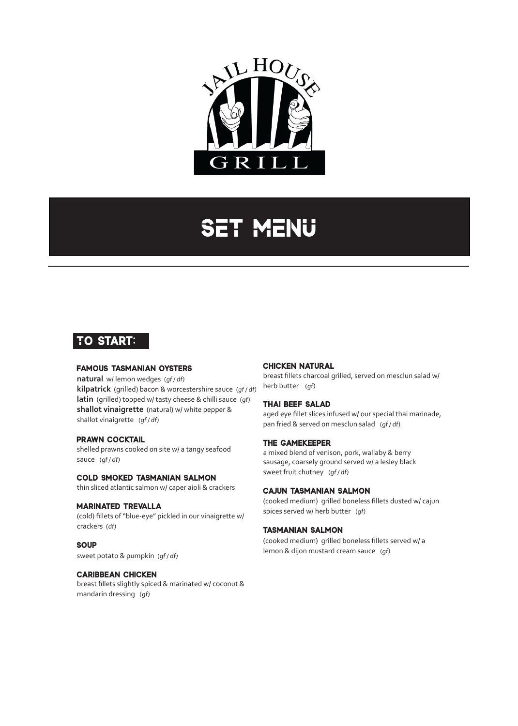

# **SET MENU**

# **To start:**

## **famous tasmanian oysters**

**natural** w/ lemon wedges (qf/df) **kilpatrick** (grilled) bacon & worcestershire sauce (gf/df) **latin** (grilled) topped w/ tasty cheese & chilli sauce (gf) **shallot vinaigrette** (natural) w/ white pepper & shallot vinaigrette (gf/df)

#### **prawn cocktail**

shelled prawns cooked on site w/ a tangy seafood sauce (gf/df)

#### **cold smoked tasmanian salmon**

thin sliced atlantic salmon w/ caper aioli & crackers

#### **marinated trevalla**

(cold) fillets of "blue-eye" pickled in our vinaigrette w/ crackers (df)

## **soup**

sweet potato & pumpkin (gf/df)

#### **caribbean chicken**

breast fillets slightly spiced & marinated w/ coconut & mandarin dressing (gf)

#### **chicken natural**

breast fillets charcoal grilled, served on mesclun salad w/ herb butter (gf)

#### **thai beef salad**

aged eye fillet slices infused w/ our special thai marinade, pan fried & served on mesclun salad (gf/df)

#### **the gamekeeper**

a mixed blend of venison, pork, wallaby & berry sausage, coarsely ground served w/ a lesley black sweet fruit chutney (qf/df)

#### **cajun tasmanian salmon**

(cooked medium) grilled boneless fillets dusted w/ cajun spices served w/ herb butter (gf)

#### **tasmanian salmon**

(cooked medium) grilled boneless fillets served w/ a lemon & dijon mustard cream sauce (gf)